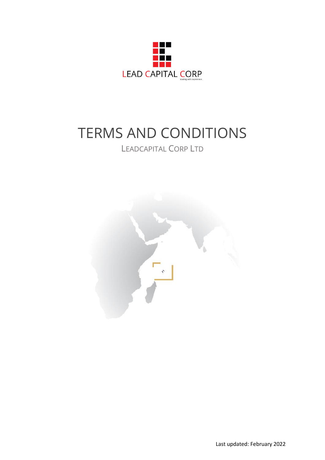

# TERMS AND CONDITIONS

## LEADCAPITAL CORP LTD

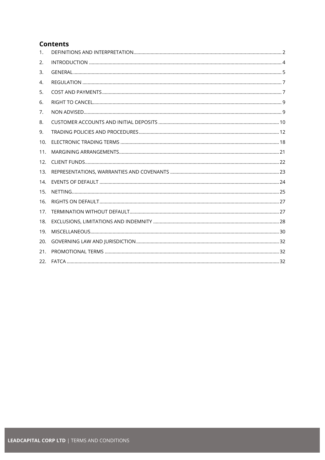## **Contents**

| 1.  |  |
|-----|--|
| 2.  |  |
| 3.  |  |
| 4.  |  |
| 5.  |  |
| 6.  |  |
| 7.  |  |
| 8.  |  |
| 9.  |  |
| 10. |  |
| 11. |  |
| 12. |  |
| 13. |  |
| 14. |  |
| 15. |  |
| 16. |  |
| 17. |  |
| 18. |  |
| 19. |  |
| 20. |  |
| 21. |  |
| 22. |  |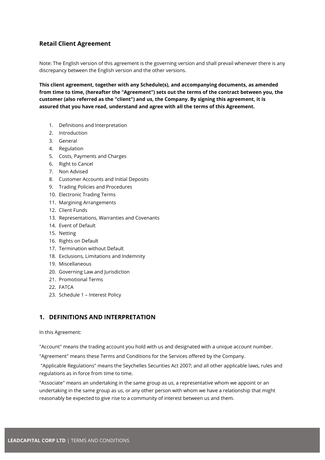## **Retail Client Agreement**

Note: The English version of this agreement is the governing version and shall prevail whenever there is any discrepancy between the English version and the other versions.

**This client agreement, together with any Schedule(s), and accompanying documents, as amended from time to time, (hereafter the "Agreement") sets out the terms of the contract between you, the customer (also referred as the "client") and us, the Company. By signing this agreement, it is assured that you have read, understand and agree with all the terms of this Agreement.**

- 1. Definitions and Interpretation
- 2. Introduction
- 3. General
- 4. Regulation
- 5. Costs, Payments and Charges
- 6. Right to Cancel
- 7. Non Advised
- 8. Customer Accounts and Initial Deposits
- 9. Trading Policies and Procedures
- 10. Electronic Trading Terms
- 11. Margining Arrangements
- 12. Client Funds
- 13. Representations, Warranties and Covenants
- 14. Event of Default
- 15. Netting
- 16. Rights on Default
- 17. Termination without Default
- 18. Exclusions, Limitations and Indemnity
- 19. Miscellaneous
- 20. Governing Law and Jurisdiction
- 21. Promotional Terms
- 22. FATCA
- 23. Schedule 1 Interest Policy

## <span id="page-2-0"></span>**1. DEFINITIONS AND INTERPRETATION**

#### In this Agreement:

"Account" means the trading account you hold with us and designated with a unique account number.

"Agreement" means these Terms and Conditions for the Services offered by the Company.

"Applicable Regulations" means the Seychelles Securities Act 2007; and all other applicable laws, rules and regulations as in force from time to time.

"Associate" means an undertaking in the same group as us, a representative whom we appoint or an undertaking in the same group as us, or any other person with whom we have a relationship that might reasonably be expected to give rise to a community of interest between us and them.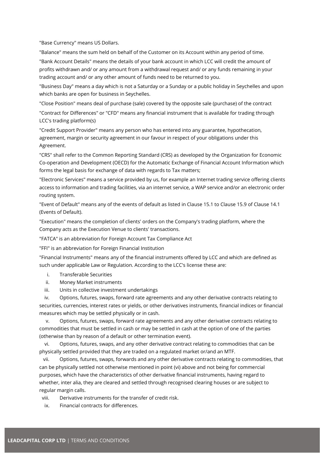"Base Currency" means US Dollars.

"Balance" means the sum held on behalf of the Customer on its Account within any period of time.

"Bank Account Details" means the details of your bank account in which LCC will credit the amount of profits withdrawn and/ or any amount from a withdrawal request and/ or any funds remaining in your trading account and/ or any other amount of funds need to be returned to you.

"Business Day" means a day which is not a Saturday or a Sunday or a public holiday in Seychelles and upon which banks are open for business in Seychelles.

"Close Position" means deal of purchase (sale) covered by the opposite sale (purchase) of the contract

"Contract for Differences" or "CFD" means any financial instrument that is available for trading through LCC's trading platform(s)

"Credit Support Provider" means any person who has entered into any guarantee, hypothecation, agreement, margin or security agreement in our favour in respect of your obligations under this Agreement.

"CRS" shall refer to the Common Reporting Standard (CRS) as developed by the Organization for Economic Co-operation and Development (OECD) for the Automatic Exchange of Financial Account Information which forms the legal basis for exchange of data with regards to Tax matters;

"Electronic Services" means a service provided by us, for example an Internet trading service offering clients access to information and trading facilities, via an internet service, a WAP service and/or an electronic order routing system.

"Event of Default" means any of the events of default as listed in Clause 15.1 to Clause 15.9 of Clause 14.1 (Events of Default).

"Execution" means the completion of clients' orders on the Company's trading platform, where the Company acts as the Execution Venue to clients' transactions.

"FATCA" is an abbreviation for Foreign Account Tax Compliance Act

"FFI" is an abbreviation for Foreign Financial Institution

"Financial Instruments" means any of the financial instruments offered by LCC and which are defined as such under applicable Law or Regulation. According to the LCC's license these are:

- i. Transferable Securities
- ii. Money Market instruments
- iii. Units in collective investment undertakings

 iv. Options, futures, swaps, forward rate agreements and any other derivative contracts relating to securities, currencies, interest rates or yields, or other derivatives instruments, financial indices or financial measures which may be settled physically or in cash.

 v. Options, futures, swaps, forward rate agreements and any other derivative contracts relating to commodities that must be settled in cash or may be settled in cash at the option of one of the parties (otherwise than by reason of a default or other termination event).

 vi. Options, futures, swaps, and any other derivative contract relating to commodities that can be physically settled provided that they are traded on a regulated market or/and an MTF.

 vii. Options, futures, swaps, forwards and any other derivative contracts relating to commodities, that can be physically settled not otherwise mentioned in point (vi) above and not being for commercial purposes, which have the characteristics of other derivative financial instruments, having regard to whether, inter alia, they are cleared and settled through recognised clearing houses or are subject to regular margin calls.

viii. Derivative instruments for the transfer of credit risk.

ix. Financial contracts for differences.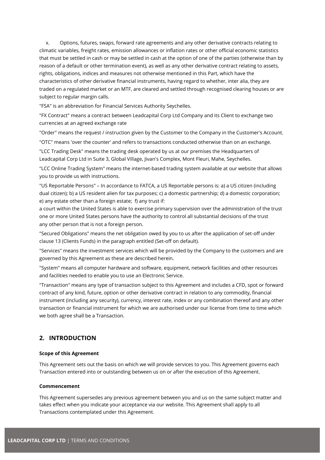x. Options, futures, swaps, forward rate agreements and any other derivative contracts relating to climatic variables, freight rates, emission allowances or inflation rates or other official economic statistics that must be settled in cash or may be settled in cash at the option of one of the parties (otherwise than by reason of a default or other termination event), as well as any other derivative contract relating to assets, rights, obligations, indices and measures not otherwise mentioned in this Part, which have the characteristics of other derivative financial instruments, having regard to whether, inter alia, they are traded on a regulated market or an MTF, are cleared and settled through recognised clearing houses or are subject to regular margin calls.

"FSA" is an abbreviation for Financial Services Authority Seychelles.

"FX Contract" means a contract between Leadcapital Corp Ltd Company and its Client to exchange two currencies at an agreed exchange rate

"Order" means the request / instruction given by the Customer to the Company in the Customer's Account.

"OTC" means 'over the counter' and refers to transactions conducted otherwise than on an exchange.

"LCC Trading Desk" means the trading desk operated by us at our premises the Headquarters of Leadcapital Corp Ltd in Suite 3, Global Village, Jivan's Complex, Mont Fleuri, Mahe, Seychelles.

"LCC Online Trading System" means the internet-based trading system available at our website that allows you to provide us with instructions.

"US Reportable Persons" – In accordance to FATCA, a US Reportable persons is: a) a US citizen (including dual citizen); b) a US resident alien for tax purposes; c) a domestic partnership; d) a domestic corporation; e) any estate other than a foreign estate; f) any trust if:

a court within the United States is able to exercise primary supervision over the administration of the trust one or more United States persons have the authority to control all substantial decisions of the trust any other person that is not a foreign person.

"Secured Obligations" means the net obligation owed by you to us after the application of set-off under clause 13 (Clients Funds) in the paragraph entitled (Set-off on default).

"Services" means the investment services which will be provided by the Company to the customers and are governed by this Agreement as these are described herein.

"System" means all computer hardware and software, equipment, network facilities and other resources and facilities needed to enable you to use an Electronic Service.

"Transaction" means any type of transaction subject to this Agreement and includes a CFD, spot or forward contract of any kind, future, option or other derivative contract in relation to any commodity, financial instrument (including any security), currency, interest rate, index or any combination thereof and any other transaction or financial instrument for which we are authorised under our license from time to time which we both agree shall be a Transaction.

## <span id="page-4-0"></span>**2. INTRODUCTION**

#### **Scope of this Agreement**

This Agreement sets out the basis on which we will provide services to you. This Agreement governs each Transaction entered into or outstanding between us on or after the execution of this Agreement.

#### **Commencement**

This Agreement supersedes any previous agreement between you and us on the same subject matter and takes effect when you indicate your acceptance via our website. This Agreement shall apply to all Transactions contemplated under this Agreement.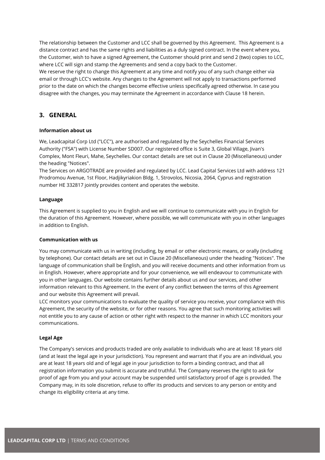The relationship between the Customer and LCC shall be governed by this Agreement. This Agreement is a distance contract and has the same rights and liabilities as a duly signed contract. In the event where you, the Customer, wish to have a signed Agreement, the Customer should print and send 2 (two) copies to LCC, where LCC will sign and stamp the Agreements and send a copy back to the Customer.

We reserve the right to change this Agreement at any time and notify you of any such change either via email or through LCC's website. Any changes to the Agreement will not apply to transactions performed prior to the date on which the changes become effective unless specifically agreed otherwise. In case you disagree with the changes, you may terminate the Agreement in accordance with Clause 18 herein.

## <span id="page-5-0"></span>**3. GENERAL**

#### **Information about us**

We, Leadcapital Corp Ltd ("LCC"), are authorised and regulated by the Seychelles Financial Services Authority ("FSA") with License Number SD007. Our registered office is Suite 3, Global Village, Jivan's Complex, Mont Fleuri, Mahe, Seychelles. Our contact details are set out in Clause 20 (Miscellaneous) under the heading "Notices".

The Services on ARGOTRADE are provided and regulated by LCC. Lead Capital Services Ltd with address 121 Prodromou Avenue, 1st Floor, Hadjikyriakion Bldg. 1, Strovolos, Nicosia, 2064, Cyprus and registration number HE 332817 jointly provides content and operates the website.

#### **Language**

This Agreement is supplied to you in English and we will continue to communicate with you in English for the duration of this Agreement. However, where possible, we will communicate with you in other languages in addition to English.

#### **Communication with us**

You may communicate with us in writing (including, by email or other electronic means, or orally (including by telephone). Our contact details are set out in Clause 20 (Miscellaneous) under the heading "Notices". The language of communication shall be English, and you will receive documents and other information from us in English. However, where appropriate and for your convenience, we will endeavour to communicate with you in other languages. Our website contains further details about us and our services, and other information relevant to this Agreement. In the event of any conflict between the terms of this Agreement and our website this Agreement will prevail.

LCC monitors your communications to evaluate the quality of service you receive, your compliance with this Agreement, the security of the website, or for other reasons. You agree that such monitoring activities will not entitle you to any cause of action or other right with respect to the manner in which LCC monitors your communications.

#### **Legal Age**

The Company's services and products traded are only available to individuals who are at least 18 years old (and at least the legal age in your jurisdiction). You represent and warrant that if you are an individual, you are at least 18 years old and of legal age in your jurisdiction to form a binding contract, and that all registration information you submit is accurate and truthful. The Company reserves the right to ask for proof of age from you and your account may be suspended until satisfactory proof of age is provided. The Company may, in its sole discretion, refuse to offer its products and services to any person or entity and change its eligibility criteria at any time.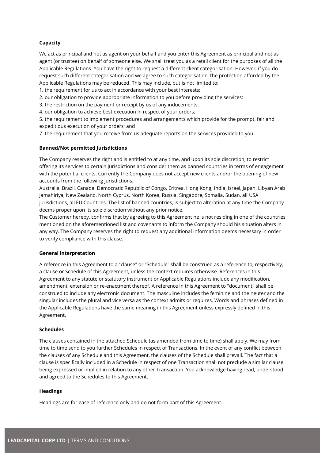#### **Capacity**

We act as principal and not as agent on your behalf and you enter this Agreement as principal and not as agent (or trustee) on behalf of someone else. We shall treat you as a retail client for the purposes of all the Applicable Regulations. You have the right to request a different client categorisation. However, if you do request such different categorisation and we agree to such categorisation, the protection afforded by the Applicable Regulations may be reduced. This may include, but is not limited to:

1. the requirement for us to act in accordance with your best interests;

2. our obligation to provide appropriate information to you before providing the services;

3. the restriction on the payment or receipt by us of any inducements;

4. our obligation to achieve best execution in respect of your orders;

5. the requirement to implement procedures and arrangements which provide for the prompt, fair and expeditious execution of your orders; and

7. the requirement that you receive from us adequate reports on the services provided to you.

#### **Banned/Not permitted Jurisdictions**

The Company reserves the right and is entitled to at any time, and upon its sole discretion, to restrict offering its services to certain jurisdictions and consider them as banned countries in terms of engagement with the potential clients. Currently the Company does not accept new clients and/or the opening of new accounts from the following jurisdictions:

Australia, Brazil, Canada, Democratic Republic of Congo, Eritrea, Hong Kong, India, Israel, Japan, Libyan Arab Jamahiriya, New Zealand, North Cyprus, North Korea, Russia. Singapore, Somalia, Sudan, all USA jurisdictions, all EU Countries. The list of banned countries, is subject to alteration at any time the Company deems proper upon its sole discretion without any prior notice.

The Customer hereby, confirms that by agreeing to this Agreement he is not residing in one of the countries mentioned on the aforementioned list and covenants to inform the Company should his situation alters in any way. The Company reserves the right to request any additional information deems necessary in order to verify compliance with this clause.

#### **General interpretation**

A reference in this Agreement to a "clause" or "Schedule" shall be construed as a reference to, respectively, a clause or Schedule of this Agreement, unless the context requires otherwise. References in this Agreement to any statute or statutory instrument or Applicable Regulations include any modification, amendment, extension or re-enactment thereof. A reference in this Agreement to "document" shall be construed to include any electronic document. The masculine includes the feminine and the neuter and the singular includes the plural and vice versa as the context admits or requires. Words and phrases defined in the Applicable Regulations have the same meaning in this Agreement unless expressly defined in this Agreement.

#### **Schedules**

The clauses contained in the attached Schedule (as amended from time to time) shall apply. We may from time to time send to you further Schedules in respect of Transactions. In the event of any conflict between the clauses of any Schedule and this Agreement, the clauses of the Schedule shall prevail. The fact that a clause is specifically included in a Schedule in respect of one Transaction shall not preclude a similar clause being expressed or implied in relation to any other Transaction. You acknowledge having read, understood and agreed to the Schedules to this Agreement.

#### **Headings**

Headings are for ease of reference only and do not form part of this Agreement.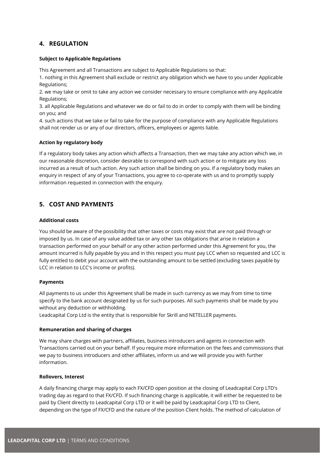## <span id="page-7-0"></span>**4. REGULATION**

#### **Subject to Applicable Regulations**

This Agreement and all Transactions are subject to Applicable Regulations so that:

1. nothing in this Agreement shall exclude or restrict any obligation which we have to you under Applicable Regulations;

2. we may take or omit to take any action we consider necessary to ensure compliance with any Applicable Regulations;

3. all Applicable Regulations and whatever we do or fail to do in order to comply with them will be binding on you; and

4. such actions that we take or fail to take for the purpose of compliance with any Applicable Regulations shall not render us or any of our directors, officers, employees or agents liable.

#### **Action by regulatory body**

If a regulatory body takes any action which affects a Transaction, then we may take any action which we, in our reasonable discretion, consider desirable to correspond with such action or to mitigate any loss incurred as a result of such action. Any such action shall be binding on you. If a regulatory body makes an enquiry in respect of any of your Transactions, you agree to co-operate with us and to promptly supply information requested in connection with the enquiry.

## <span id="page-7-1"></span>**5. COST AND PAYMENTS**

#### **Additional costs**

You should be aware of the possibility that other taxes or costs may exist that are not paid through or imposed by us. In case of any value added tax or any other tax obligations that arise in relation a transaction performed on your behalf or any other action performed under this Agreement for you, the amount incurred is fully payable by you and in this respect you must pay LCC when so requested and LCC is fully entitled to debit your account with the outstanding amount to be settled (excluding taxes payable by LCC in relation to LCC's income or profits).

#### **Payments**

All payments to us under this Agreement shall be made in such currency as we may from time to time specify to the bank account designated by us for such purposes. All such payments shall be made by you without any deduction or withholding.

Leadcapital Corp Ltd is the entity that is responsible for Skrill and NETELLER payments.

#### **Remuneration and sharing of charges**

We may share charges with partners, affiliates, business introducers and agents in connection with Transactions carried out on your behalf. If you require more information on the fees and commissions that we pay to business introducers and other affiliates, inform us and we will provide you with further information.

#### **Rollovers, Interest**

A daily financing charge may apply to each FX/CFD open position at the closing of Leadcapital Corp LTD's trading day as regard to that FX/CFD. If such financing charge is applicable, it will either be requested to be paid by Client directly to Leadcapital Corp LTD or it will be paid by Leadcapital Corp LTD to Client, depending on the type of FX/CFD and the nature of the position Client holds. The method of calculation of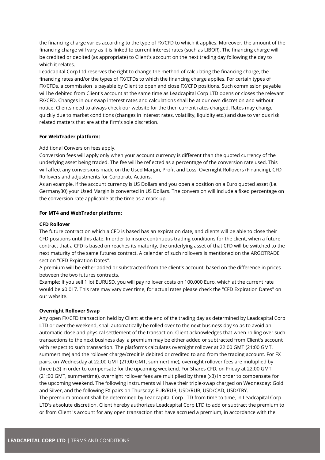the financing charge varies according to the type of FX/CFD to which it applies. Moreover, the amount of the financing charge will vary as it is linked to current interest rates (such as LIBOR). The financing charge will be credited or debited (as appropriate) to Client's account on the next trading day following the day to which it relates.

Leadcapital Corp Ltd reserves the right to change the method of calculating the financing charge, the financing rates and/or the types of FX/CFDs to which the financing charge applies. For certain types of FX/CFDs, a commission is payable by Client to open and close FX/CFD positions. Such commission payable will be debited from Client's account at the same time as Leadcapital Corp LTD opens or closes the relevant FX/CFD. Changes in our swap interest rates and calculations shall be at our own discretion and without notice. Clients need to always check our website for the then current rates charged. Rates may change quickly due to market conditions (changes in interest rates, volatility, liquidity etc.) and due to various risk related matters that are at the firm's sole discretion.

#### **For WebTrader platform:**

#### Additional Conversion fees apply.

Conversion fees will apply only when your account currency is different than the quoted currency of the underlying asset being traded. The fee will be reflected as a percentage of the conversion rate used. This will affect any conversions made on the Used Margin, Profit and Loss, Overnight Rollovers (Financing), CFD Rollovers and adjustments for Corporate Actions.

As an example, if the account currency is US Dollars and you open a position on a Euro quoted asset (i.e. Germany30) your Used Margin is converted in US Dollars. The conversion will include a fixed percentage on the conversion rate applicable at the time as a mark-up.

#### **For MT4 and WebTrader platform:**

#### **CFD Rollover**

The future contract on which a CFD is based has an expiration date, and clients will be able to close their CFD positions until this date. In order to insure continuous trading conditions for the client, when a future contract that a CFD is based on reaches its maturity, the underlying asset of that CFD will be switched to the next maturity of the same futures contract. A calendar of such rollovers is mentioned on the ARGOTRADE section "CFD Expiration Dates".

A premium will be either added or substracted from the client's account, based on the difference in prices between the two futures contracts.

Example: If you sell 1 lot EURUSD, you will pay rollover costs on 100.000 Euro, which at the current rate would be \$0.017. This rate may vary over time, for actual rates please check the "CFD Expiration Dates" on our website.

#### **Overnight Rollover Swap**

Any open FX/CFD transaction held by Client at the end of the trading day as determined by Leadcapital Corp LTD or over the weekend, shall automatically be rolled over to the next business day so as to avoid an automatic close and physical settlement of the transaction. Client acknowledges that when rolling over such transactions to the next business day, a premium may be either added or subtracted from Client's account with respect to such transaction. The platforms calculates overnight rollover at 22:00 GMT (21:00 GMT, summertime) and the rollover charge/credit is debited or credited to and from the trading account. For FX pairs, on Wednesday at 22:00 GMT (21:00 GMT, summertime), overnight rollover fees are multiplied by three (x3) in order to compensate for the upcoming weekend. For Shares CFD, on Friday at 22:00 GMT (21:00 GMT, summertime), overnight rollover fees are multiplied by three (x3) in order to compensate for the upcoming weekend. The following instruments will have their triple-swap charged on Wednesday: Gold and Silver, and the following FX pairs on Thursday: EUR/RUB, USD/RUB, USD/CAD, USD/TRY. The premium amount shall be determined by Leadcapital Corp LTD from time to time, in Leadcapital Corp LTD's absolute discretion. Client hereby authorizes Leadcapital Corp LTD to add or subtract the premium to or from Client 's account for any open transaction that have accrued a premium, in accordance with the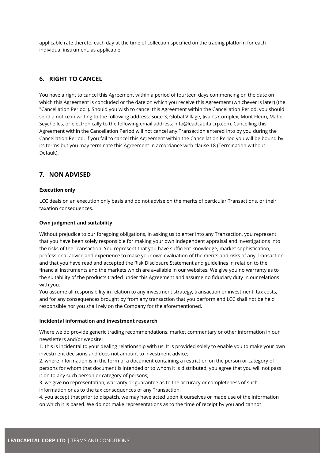applicable rate thereto, each day at the time of collection specified on the trading platform for each individual instrument, as applicable.

## <span id="page-9-0"></span>**6. RIGHT TO CANCEL**

You have a right to cancel this Agreement within a period of fourteen days commencing on the date on which this Agreement is concluded or the date on which you receive this Agreement (whichever is later) (the "Cancellation Period"). Should you wish to cancel this Agreement within the Cancellation Period, you should send a notice in writing to the following address: Suite 3, Global Village, Jivan's Complex, Mont Fleuri, Mahe, Seychelles, or electronically to the following email address: info@leadcapitalcrp.com. Cancelling this Agreement within the Cancellation Period will not cancel any Transaction entered into by you during the Cancellation Period. If you fail to cancel this Agreement within the Cancellation Period you will be bound by its terms but you may terminate this Agreement in accordance with clause 18 (Termination without Default).

## <span id="page-9-1"></span>**7. NON ADVISED**

#### **Execution only**

LCC deals on an execution only basis and do not advise on the merits of particular Transactions, or their taxation consequences.

#### **Own judgment and suitability**

Without prejudice to our foregoing obligations, in asking us to enter into any Transaction, you represent that you have been solely responsible for making your own independent appraisal and investigations into the risks of the Transaction. You represent that you have sufficient knowledge, market sophistication, professional advice and experience to make your own evaluation of the merits and risks of any Transaction and that you have read and accepted the Risk Disclosure Statement and guidelines in relation to the financial instruments and the markets which are available in our websites. We give you no warranty as to the suitability of the products traded under this Agreement and assume no fiduciary duty in our relations with you.

You assume all responsibility in relation to any investment strategy, transaction or investment, tax costs, and for any consequences brought by from any transaction that you perform and LCC shall not be held responsible nor you shall rely on the Company for the aforementioned.

#### **Incidental information and investment research**

Where we do provide generic trading recommendations, market commentary or other information in our newsletters and/or website:

1. this is incidental to your dealing relationship with us. It is provided solely to enable you to make your own investment decisions and does not amount to investment advice;

2. where information is in the form of a document containing a restriction on the person or category of persons for whom that document is intended or to whom it is distributed, you agree that you will not pass it on to any such person or category of persons;

3. we give no representation, warranty or guarantee as to the accuracy or completeness of such information or as to the tax consequences of any Transaction;

4. you accept that prior to dispatch, we may have acted upon it ourselves or made use of the information on which it is based. We do not make representations as to the time of receipt by you and cannot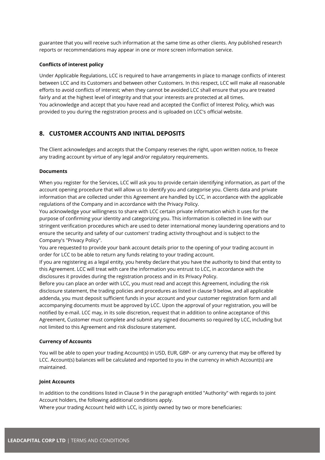guarantee that you will receive such information at the same time as other clients. Any published research reports or recommendations may appear in one or more screen information service.

#### **Conflicts of interest policy**

Under Applicable Regulations, LCC is required to have arrangements in place to manage conflicts of interest between LCC and its Customers and between other Customers. In this respect, LCC will make all reasonable efforts to avoid conflicts of interest; when they cannot be avoided LCC shall ensure that you are treated fairly and at the highest level of integrity and that your interests are protected at all times. You acknowledge and accept that you have read and accepted the Conflict of Interest Policy, which was provided to you during the registration process and is uploaded on LCC's official website.

## <span id="page-10-0"></span>**8. CUSTOMER ACCOUNTS AND INITIAL DEPOSITS**

The Client acknowledges and accepts that the Company reserves the right, upon written notice, to freeze any trading account by virtue of any legal and/or regulatory requirements.

#### **Documents**

When you register for the Services, LCC will ask you to provide certain identifying information, as part of the account opening procedure that will allow us to identify you and categorise you. Clients data and private information that are collected under this Agreement are handled by LCC, in accordance with the applicable regulations of the Company and in accordance with the Privacy Policy.

You acknowledge your willingness to share with LCC certain private information which it uses for the purpose of confirming your identity and categorizing you. This information is collected in line with our stringent verification procedures which are used to deter international money laundering operations and to ensure the security and safety of our customers' trading activity throughout and is subject to the Company's "Privacy Policy".

You are requested to provide your bank account details prior to the opening of your trading account in order for LCC to be able to return any funds relating to your trading account.

If you are registering as a legal entity, you hereby declare that you have the authority to bind that entity to this Agreement. LCC will treat with care the information you entrust to LCC, in accordance with the disclosures it provides during the registration process and in its Privacy Policy.

Before you can place an order with LCC, you must read and accept this Agreement, including the risk disclosure statement, the trading policies and procedures as listed in clause 9 below, and all applicable addenda, you must deposit sufficient funds in your account and your customer registration form and all accompanying documents must be approved by LCC. Upon the approval of your registration, you will be notified by e-mail. LCC may, in its sole discretion, request that in addition to online acceptance of this Agreement, Customer must complete and submit any signed documents so required by LCC, including but not limited to this Agreement and risk disclosure statement.

#### **Currency of Accounts**

You will be able to open your trading Account(s) in USD, EUR, GBP- or any currency that may be offered by LCC. Account(s) balances will be calculated and reported to you in the currency in which Account(s) are maintained.

#### **Joint Accounts**

In addition to the conditions listed in Clause 9 in the paragraph entitled "Authority" with regards to joint Account holders, the following additional conditions apply.

Where your trading Account held with LCC, is jointly owned by two or more beneficiaries: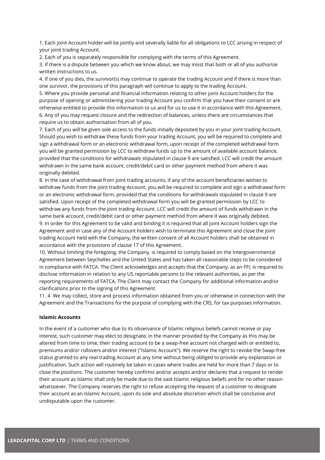1. Each joint Account holder will be jointly and severally liable for all obligations to LCC arising in respect of your joint trading Account.

2. Each of you is separately responsible for complying with the terms of this Agreement.

3. If there is a dispute between you which we know about, we may insist that both or all of you authorise written instructions to us.

4. If one of you dies, the survivor(s) may continue to operate the trading Account and if there is more than one survivor, the provisions of this paragraph will continue to apply to the trading Account.

5. Where you provide personal and financial information relating to other joint Account holders for the purpose of opening or administering your trading Account you confirm that you have their consent or are otherwise entitled to provide this information to us and for us to use it in accordance with this Agreement. 6. Any of you may request closure and the redirection of balances, unless there are circumstances that require us to obtain authorisation from all of you.

7. Each of you will be given sole access to the funds initially deposited by you in your joint trading Account. Should you wish to withdraw these funds from your trading Account, you will be required to complete and sign a withdrawal form or an electronic withdrawal form, upon receipt of the completed withdrawal form you will be granted permission by LCC to withdraw funds up to the amount of available account balance, provided that the conditions for withdrawals stipulated in clause 9 are satisfied. LCC will credit the amount withdrawn in the same bank account, credit/debit card or other payment method from where it was originally debited.

8. In the case of withdrawal from joint trading accounts, if any of the account beneficiaries wishes to withdraw funds from the joint trading Account, you will be required to complete and sign a withdrawal form or an electronic withdrawal form, provided that the conditions for withdrawals stipulated in clause 9 are satisfied. Upon receipt of the completed withdrawal form you will be granted permission by LCC to withdraw any funds from the joint trading Account. LCC will credit the amount of funds withdrawn in the same bank account, credit/debit card or other payment method from where it was originally debited. 9. In order for this Agreement to be valid and binding it is required that all joint Account holders sign the Agreement and in case any of the Account holders wish to terminate this Agreement and close the joint trading Account held with the Company, the written consent of all Account holders shall be obtained in accordance with the provisions of clause 17 of this Agreement.

10. Without limiting the foregoing, the Company, is required to comply based on the Intergovernmental Agreement between Seychelles and the United States and has taken all reasonable steps to be considered in compliance with FATCA. The Client acknowledges and accepts that the Company, as an FFI, is required to disclose information in relation to any US reportable persons to the relevant authorities, as per the reporting requirements of FATCA. The Client may contact the Company for additional information and/or clarifications prior to the signing of this Agreement.

11. 4 We may collect, store and process information obtained from you or otherwise in connection with the Agreement and the Transactions for the purpose of complying with the CRS, for tax purposes information.

#### **Islamic Accounts**

In the event of a customer who due to its observance of Islamic religious beliefs cannot receive or pay interest, such customer may elect to designate, in the manner provided by the Company as this may be altered from time to time, their trading account to be a swap-free account not charged with or entitled to, premiums and/or rollovers and/or interest ("Islamic Account"). We reserve the right to revoke the Swap-free status granted to any real trading Account at any time without being obliged to provide any explanation or justification. Such action will routinely be taken in cases where trades are held for more than 7 days or to close the positions. The customer hereby confirms and/or accepts and/or declares that a request to render their account as Islamic shall only be made due to the said Islamic religious beliefs and for no other reason whatsoever. The Company reserves the right to refuse accepting the request of a customer to designate their account as an Islamic Account, upon its sole and absolute discretion which shall be conclusive and undisputable upon the customer.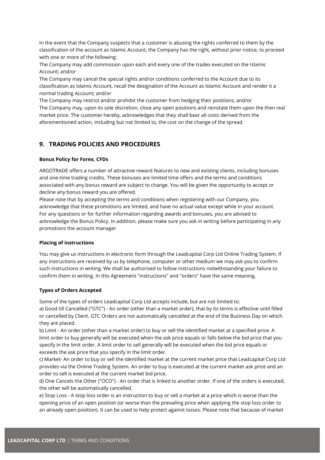In the event that the Company suspects that a customer is abusing the rights conferred to them by the classification of the account as Islamic Account, the Company has the right, without prior notice, to proceed with one or more of the following:

The Company may add commission upon each and every one of the trades executed on the Islamic Account; and/or

The Company may cancel the special rights and/or conditions conferred to the Account due to its classification as Islamic Account, recall the designation of the Account as Islamic Account and render it a normal trading Account; and/or

The Company may restrict and/or prohibit the customer from hedging their positions; and/or The Company may, upon its sole discretion, close any open positions and reinstate them upon the then real market price. The customer hereby, acknowledges that they shall bear all costs derived from the aforementioned action, including but not limited to, the cost on the change of the spread.

## <span id="page-12-0"></span>**9. TRADING POLICIES AND PROCEDURES**

#### **Bonus Policy for Forex, CFDs**

ARGOTRADE offers a number of attractive reward features to new and existing clients, including bonuses and one-time trading credits. These bonuses are limited time offers and the terms and conditions associated with any bonus reward are subject to change. You will be given the opportunity to accept or decline any bonus reward you are offered.

Please note that by accepting the terms and conditions when registering with our Company, you acknowledge that these promotions are limited, and have no actual value except while in your account. For any questions or for further information regarding awards and bonuses, you are advised to acknowledge the Bonus Policy. In addition, please make sure you ask in writing before participating in any promotions the account manager.

#### **Placing of instructions**

You may give us instructions in electronic form through the Leadcapital Corp Ltd Online Trading System. If any instructions are received by us by telephone, computer or other medium we may ask you to confirm such instructions in writing. We shall be authorised to follow instructions notwithstanding your failure to confirm them in writing. In this Agreement "instructions" and "orders" have the same meaning.

## **Types of Orders Accepted**

Some of the types of orders Leadcapital Corp Ltd accepts include, but are not limited to:

a) Good till Cancelled ("GTC") - An order (other than a market order), that by its terms is effective until filled or cancelled by Client. GTC Orders are not automatically cancelled at the end of the Business Day on which they are placed.

b) Limit - An order (other than a market order) to buy or sell the identified market at a specified price. A limit order to buy generally will be executed when the ask price equals or falls below the bid price that you specify in the limit order. A limit order to sell generally will be executed when the bid price equals or exceeds the ask price that you specify in the limit order.

c) Market- An order to buy or sell the identified market at the current market price that Leadcapital Corp Ltd provides via the Online Trading System. An order to buy is executed at the current market ask price and an order to sell is executed at the current market bid price.

d) One Cancels the Other ("OCO") - An order that is linked to another order. If one of the orders is executed, the other will be automatically cancelled.

e) Stop Loss - A stop loss order is an instruction to buy or sell a market at a price which is worse than the opening price of an open position (or worse than the prevailing price when applying the stop loss order to an already open position). It can be used to help protect against losses. Please note that because of market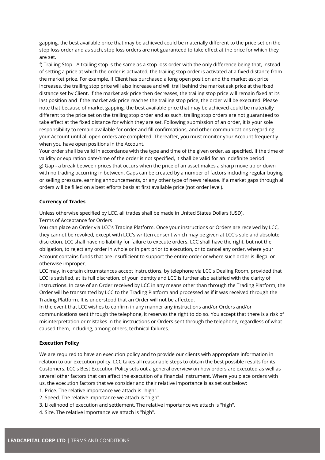gapping, the best available price that may be achieved could be materially different to the price set on the stop loss order and as such, stop loss orders are not guaranteed to take effect at the price for which they are set.

f) Trailing Stop - A trailing stop is the same as a stop loss order with the only difference being that, instead of setting a price at which the order is activated, the trailing stop order is activated at a fixed distance from the market price. For example, if Client has purchased a long open position and the market ask price increases, the trailing stop price will also increase and will trail behind the market ask price at the fixed distance set by Client. If the market ask price then decreases, the trailing stop price will remain fixed at its last position and if the market ask price reaches the trailing stop price, the order will be executed. Please note that because of market gapping, the best available price that may be achieved could be materially different to the price set on the trailing stop order and as such, trailing stop orders are not guaranteed to take effect at the fixed distance for which they are set. Following submission of an order, it is your sole responsibility to remain available for order and fill confirmations, and other communications regarding your Account until all open orders are completed. Thereafter, you must monitor your Account frequently when you have open positions in the Account.

Your order shall be valid in accordance with the type and time of the given order, as specified. If the time of validity or expiration date/time of the order is not specified, it shall be valid for an indefinite period. g) Gap - a break between prices that occurs when the price of an asset makes a sharp move up or down with no trading occurring in between. Gaps can be created by a number of factors including regular buying or selling pressure, earning announcements, or any other type of news release. If a market gaps through all orders will be filled on a best efforts basis at first available price (not order level).

#### **Currency of Trades**

Unless otherwise specified by LCC, all trades shall be made in United States Dollars (USD).

Terms of Acceptance for Orders

You can place an Order via LCC's Trading Platform. Once your instructions or Orders are received by LCC, they cannot be revoked, except with LCC's written consent which may be given at LCC's sole and absolute discretion. LCC shall have no liability for failure to execute orders. LCC shall have the right, but not the obligation, to reject any order in whole or in part prior to execution, or to cancel any order, where your Account contains funds that are insufficient to support the entire order or where such order is illegal or otherwise improper.

LCC may, in certain circumstances accept instructions, by telephone via LCC's Dealing Room, provided that LCC is satisfied, at its full discretion, of your identity and LCC is further also satisfied with the clarity of instructions. In case of an Order received by LCC in any means other than through the Trading Platform, the Order will be transmitted by LCC to the Trading Platform and processed as if it was received through the Trading Platform. It is understood that an Order will not be affected.

In the event that LCC wishes to confirm in any manner any instructions and/or Orders and/or communications sent through the telephone, it reserves the right to do so. You accept that there is a risk of misinterpretation or mistakes in the instructions or Orders sent through the telephone, regardless of what caused them, including, among others, technical failures.

#### **Execution Policy**

We are required to have an execution policy and to provide our clients with appropriate information in relation to our execution policy. LCC takes all reasonable steps to obtain the best possible results for its Customers. LCC's Best Execution Policy sets out a general overview on how orders are executed as well as several other factors that can affect the execution of a financial instrument. Where you place orders with us, the execution factors that we consider and their relative importance is as set out below:

- 1. Price. The relative importance we attach is "high".
- 2. Speed. The relative importance we attach is "high".
- 3. Likelihood of execution and settlement. The relative importance we attach is "high".
- 4. Size. The relative importance we attach is "high".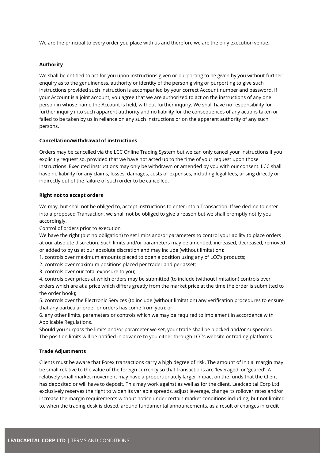We are the principal to every order you place with us and therefore we are the only execution venue.

#### **Authority**

We shall be entitled to act for you upon instructions given or purporting to be given by you without further enquiry as to the genuineness, authority or identity of the person giving or purporting to give such instructions provided such instruction is accompanied by your correct Account number and password. If your Account is a joint account, you agree that we are authorized to act on the instructions of any one person in whose name the Account is held, without further inquiry. We shall have no responsibility for further inquiry into such apparent authority and no liability for the consequences of any actions taken or failed to be taken by us in reliance on any such instructions or on the apparent authority of any such persons.

#### **Cancellation/withdrawal of instructions**

Orders may be cancelled via the LCC Online Trading System but we can only cancel your instructions if you explicitly request so, provided that we have not acted up to the time of your request upon those instructions. Executed instructions may only be withdrawn or amended by you with our consent. LCC shall have no liability for any claims, losses, damages, costs or expenses, including legal fees, arising directly or indirectly out of the failure of such order to be cancelled.

#### **Right not to accept orders**

We may, but shall not be obliged to, accept instructions to enter into a Transaction. If we decline to enter into a proposed Transaction, we shall not be obliged to give a reason but we shall promptly notify you accordingly.

Control of orders prior to execution

We have the right (but no obligation) to set limits and/or parameters to control your ability to place orders at our absolute discretion. Such limits and/or parameters may be amended, increased, decreased, removed or added to by us at our absolute discretion and may include (without limitation):

1. controls over maximum amounts placed to open a position using any of LCC's products;

2. controls over maximum positions placed per trader and per asset;

3. controls over our total exposure to you;

4. controls over prices at which orders may be submitted (to include (without limitation) controls over orders which are at a price which differs greatly from the market price at the time the order is submitted to the order book);

5. controls over the Electronic Services (to include (without limitation) any verification procedures to ensure that any particular order or orders has come from you); or

6. any other limits, parameters or controls which we may be required to implement in accordance with Applicable Regulations.

Should you surpass the limits and/or parameter we set, your trade shall be blocked and/or suspended. The position limits will be notified in advance to you either through LCC's website or trading platforms.

## **Trade Adjustments**

Clients must be aware that Forex transactions carry a high degree of risk. The amount of initial margin may be small relative to the value of the foreign currency so that transactions are 'leveraged' or 'geared'. A relatively small market movement may have a proportionately larger impact on the funds that the Client has deposited or will have to deposit. This may work against as well as for the client. Leadcapital Corp Ltd exclusively reserves the right to widen its variable spreads, adjust leverage, change its rollover rates and/or increase the margin requirements without notice under certain market conditions including, but not limited to, when the trading desk is closed, around fundamental announcements, as a result of changes in credit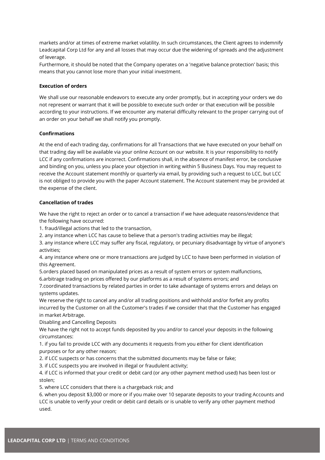markets and/or at times of extreme market volatility. In such circumstances, the Client agrees to indemnify Leadcapital Corp Ltd for any and all losses that may occur due the widening of spreads and the adjustment of leverage.

Furthermore, it should be noted that the Company operates on a 'negative balance protection' basis; this means that you cannot lose more than your initial investment.

#### **Execution of orders**

We shall use our reasonable endeavors to execute any order promptly, but in accepting your orders we do not represent or warrant that it will be possible to execute such order or that execution will be possible according to your instructions. If we encounter any material difficulty relevant to the proper carrying out of an order on your behalf we shall notify you promptly.

#### **Confirmations**

At the end of each trading day, confirmations for all Transactions that we have executed on your behalf on that trading day will be available via your online Account on our website. It is your responsibility to notify LCC if any confirmations are incorrect. Confirmations shall, in the absence of manifest error, be conclusive and binding on you, unless you place your objection in writing within 5 Business Days. You may request to receive the Account statement monthly or quarterly via email, by providing such a request to LCC, but LCC is not obliged to provide you with the paper Account statement. The Account statement may be provided at the expense of the client.

#### **Cancellation of trades**

We have the right to reject an order or to cancel a transaction if we have adequate reasons/evidence that the following have occurred:

1. fraud/illegal actions that led to the transaction,

2. any instance when LCC has cause to believe that a person's trading activities may be illegal;

3. any instance where LCC may suffer any fiscal, regulatory, or pecuniary disadvantage by virtue of anyone's activities;

4. any instance where one or more transactions are judged by LCC to have been performed in violation of this Agreement.

5.orders placed based on manipulated prices as a result of system errors or system malfunctions, 6.arbitrage trading on prices offered by our platforms as a result of systems errors; and

7.coordinated transactions by related parties in order to take advantage of systems errors and delays on systems updates.

We reserve the right to cancel any and/or all trading positions and withhold and/or forfeit any profits incurred by the Customer on all the Customer's trades if we consider that that the Customer has engaged in market Arbitrage.

Disabling and Cancelling Deposits

We have the right not to accept funds deposited by you and/or to cancel your deposits in the following circumstances:

1. if you fail to provide LCC with any documents it requests from you either for client identification purposes or for any other reason;

2. if LCC suspects or has concerns that the submitted documents may be false or fake;

3. if LCC suspects you are involved in illegal or fraudulent activity;

4. if LCC is informed that your credit or debit card (or any other payment method used) has been lost or stolen;

5. where LCC considers that there is a chargeback risk; and

6. when you deposit \$3,000 or more or if you make over 10 separate deposits to your trading Accounts and LCC is unable to verify your credit or debit card details or is unable to verify any other payment method used.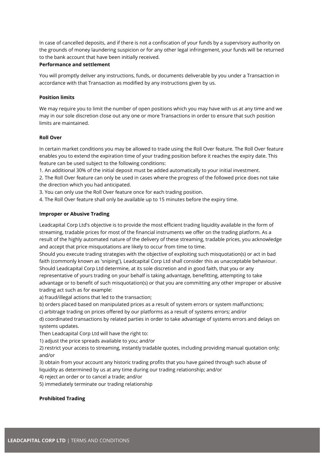In case of cancelled deposits, and if there is not a confiscation of your funds by a supervisory authority on the grounds of money laundering suspicion or for any other legal infringement, your funds will be returned to the bank account that have been initially received.

#### **Performance and settlement**

You will promptly deliver any instructions, funds, or documents deliverable by you under a Transaction in accordance with that Transaction as modified by any instructions given by us.

#### **Position limits**

We may require you to limit the number of open positions which you may have with us at any time and we may in our sole discretion close out any one or more Transactions in order to ensure that such position limits are maintained.

#### **Roll Over**

In certain market conditions you may be allowed to trade using the Roll Over feature. The Roll Over feature enables you to extend the expiration time of your trading position before it reaches the expiry date. This feature can be used subject to the following conditions:

1. An additional 30% of the initial deposit must be added automatically to your initial investment.

2. The Roll Over feature can only be used in cases where the progress of the followed price does not take the direction which you had anticipated.

3. You can only use the Roll Over feature once for each trading position.

4. The Roll Over feature shall only be available up to 15 minutes before the expiry time.

#### **Improper or Abusive Trading**

Leadcapital Corp Ltd's objective is to provide the most efficient trading liquidity available in the form of streaming, tradable prices for most of the financial instruments we offer on the trading platform. As a result of the highly automated nature of the delivery of these streaming, tradable prices, you acknowledge and accept that price misquotations are likely to occur from time to time.

Should you execute trading strategies with the objective of exploiting such misquotation(s) or act in bad faith (commonly known as 'sniping'), Leadcapital Corp Ltd shall consider this as unacceptable behaviour. Should Leadcapital Corp Ltd determine, at its sole discretion and in good faith, that you or any representative of yours trading on your behalf is taking advantage, benefitting, attempting to take advantage or to benefit of such misquotation(s) or that you are committing any other improper or abusive trading act such as for example:

a) fraud/illegal actions that led to the transaction;

b) orders placed based on manipulated prices as a result of system errors or system malfunctions;

c) arbitrage trading on prices offered by our platforms as a result of systems errors; and/or

d) coordinated transactions by related parties in order to take advantage of systems errors and delays on systems updates.

Then Leadcapital Corp Ltd will have the right to:

1) adjust the price spreads available to you; and/or

2) restrict your access to streaming, instantly tradable quotes, including providing manual quotation only; and/or

3) obtain from your account any historic trading profits that you have gained through such abuse of liquidity as determined by us at any time during our trading relationship; and/or

4) reject an order or to cancel a trade; and/or

5) immediately terminate our trading relationship

#### **Prohibited Trading**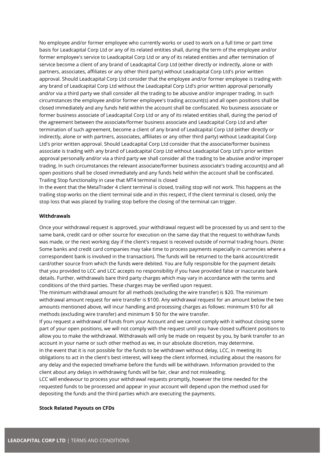No employee and/or former employee who currently works or used to work on a full time or part time basis for Leadcapital Corp Ltd or any of its related entities shall, during the term of the employee and/or former employee's service to Leadcapital Corp Ltd or any of its related entities and after termination of service become a client of any brand of Leadcapital Corp Ltd (either directly or indirectly, alone or with partners, associates, affiliates or any other third party) without Leadcapital Corp Ltd's prior written approval. Should Leadcapital Corp Ltd consider that the employee and/or former employee is trading with any brand of Leadcapital Corp Ltd without the Leadcapital Corp Ltd's prior written approval personally and/or via a third party we shall consider all the trading to be abusive and/or improper trading. In such circumstances the employee and/or former employee's trading account(s) and all open positions shall be closed immediately and any funds held within the account shall be confiscated. No business associate or former business associate of Leadcapital Corp Ltd or any of its related entities shall, during the period of the agreement between the associate/former business associate and Leadcapital Corp Ltd and after termination of such agreement, become a client of any brand of Leadcapital Corp Ltd (either directly or indirectly, alone or with partners, associates, affiliates or any other third party) without Leadcapital Corp Ltd's prior written approval. Should Leadcapital Corp Ltd consider that the associate/former business associate is trading with any brand of Leadcapital Corp Ltd without Leadcapital Corp Ltd's prior written approval personally and/or via a third party we shall consider all the trading to be abusive and/or improper trading. In such circumstances the relevant associate/former business associate's trading account(s) and all open positions shall be closed immediately and any funds held within the account shall be confiscated. Trailing Stop functionality in case that MT4 terminal is closed

In the event that the MetaTrader 4 client terminal is closed, trailing stop will not work. This happens as the trailing stop works on the client terminal side and in this respect, if the client terminal is closed, only the stop loss that was placed by trailing stop before the closing of the terminal can trigger.

#### **Withdrawals**

Once your withdrawal request is approved, your withdrawal request will be processed by us and sent to the same bank, credit card or other source for execution on the same day that the request to withdraw funds was made, or the next working day if the client's request is received outside of normal trading hours. (Note: Some banks and credit card companies may take time to process payments especially in currencies where a correspondent bank is involved in the transaction). The funds will be returned to the bank account/credit card/other source from which the funds were debited. You are fully responsible for the payment details that you provided to LCC and LCC accepts no responsibility if you have provided false or inaccurate bank details. Further, withdrawals bare third party charges which may vary in accordance with the terms and conditions of the third parties. These charges may be verified upon request.

The minimum withdrawal amount for all methods (excluding the wire transfer) is \$20. The minimum withdrawal amount request for wire transfer is \$100. Any withdrawal request for an amount below the two amounts mentioned above, will incur handling and processing charges as follows: minimum \$10 for all methods (excluding wire transfer) and minimum \$ 50 for the wire transfer.

If you request a withdrawal of funds from your Account and we cannot comply with it without closing some part of your open positions, we will not comply with the request until you have closed sufficient positions to allow you to make the withdrawal. Withdrawals will only be made on request by you, by bank transfer to an account in your name or such other method as we, in our absolute discretion, may determine. In the event that it is not possible for the funds to be withdrawn without delay, LCC, in meeting its obligations to act in the client's best interest, will keep the client informed, including about the reasons for any delay and the expected timeframe before the funds will be withdrawn. Information provided to the client about any delays in withdrawing funds will be fair, clear and not misleading.

LCC will endeavour to process your withdrawal requests promptly, however the time needed for the requested funds to be processed and appear in your account will depend upon the method used for depositing the funds and the third parties which are executing the payments.

#### **Stock Related Payouts on CFDs**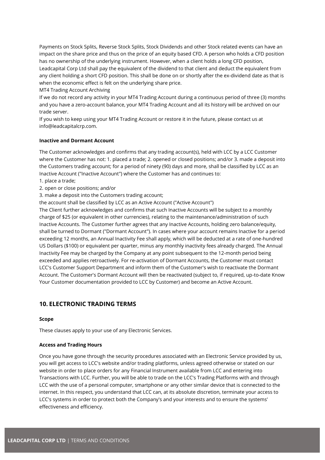Payments on Stock Splits, Reverse Stock Splits, Stock Dividends and other Stock related events can have an impact on the share price and thus on the price of an equity based CFD. A person who holds a CFD position has no ownership of the underlying instrument. However, when a client holds a long CFD position, Leadcapital Corp Ltd shall pay the equivalent of the dividend to that client and deduct the equivalent from any client holding a short CFD position. This shall be done on or shortly after the ex-dividend date as that is when the economic effect is felt on the underlying share price.

MT4 Trading Account Archiving

If we do not record any activity in your MT4 Trading Account during a continuous period of three (3) months and you have a zero-account balance, your MT4 Trading Account and all its history will be archived on our trade server.

If you wish to keep using your MT4 Trading Account or restore it in the future, please contact us at info@leadcapitalcrp.com.

#### **Inactive and Dormant Account**

The Customer acknowledges and confirms that any trading account(s), held with LCC by a LCC Customer where the Customer has not: 1. placed a trade; 2. opened or closed positions; and/or 3. made a deposit into the Customers trading account; for a period of ninety (90) days and more, shall be classified by LCC as an Inactive Account ("Inactive Account") where the Customer has and continues to:

- 1. place a trade;
- 2. open or close positions; and/or
- 3. make a deposit into the Customers trading account;

the account shall be classified by LCC as an Active Account ("Active Account")

The Client further acknowledges and confirms that such Inactive Accounts will be subject to a monthly charge of \$25 (or equivalent in other currencies), relating to the maintenance/administration of such Inactive Accounts. The Customer further agrees that any Inactive Accounts, holding zero balance/equity, shall be turned to Dormant ("Dormant Account"). In cases where your account remains Inactive for a period exceeding 12 months, an Annual Inactivity Fee shall apply, which will be deducted at a rate of one-hundred US Dollars (\$100) or equivalent per quarter, minus any monthly inactivity fees already charged. The Annual Inactivity Fee may be charged by the Company at any point subsequent to the 12-month period being exceeded and applies retroactively. For re-activation of Dormant Accounts, the Customer must contact LCC's Customer Support Department and inform them of the Customer's wish to reactivate the Dormant Account. The Customer's Dormant Account will then be reactivated (subject to, if required, up-to-date Know Your Customer documentation provided to LCC by Customer) and become an Active Account.

## <span id="page-18-0"></span>**10. ELECTRONIC TRADING TERMS**

#### **Scope**

These clauses apply to your use of any Electronic Services.

#### **Access and Trading Hours**

Once you have gone through the security procedures associated with an Electronic Service provided by us, you will get access to LCC's website and/or trading platforms, unless agreed otherwise or stated on our website in order to place orders for any Financial Instrument available from LCC and entering into Transactions with LCC. Further, you will be able to trade on the LCC's Trading Platforms with and through LCC with the use of a personal computer, smartphone or any other similar device that is connected to the internet. In this respect, you understand that LCC can, at its absolute discretion, terminate your access to LCC's systems in order to protect both the Company's and your interests and to ensure the systems' effectiveness and efficiency.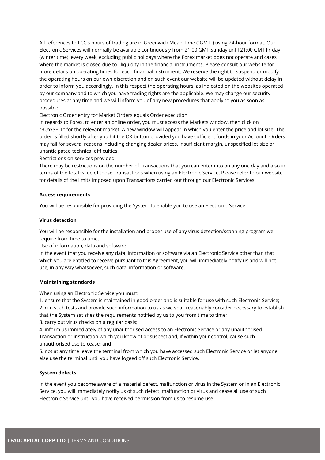All references to LCC's hours of trading are in Greenwich Mean Time ("GMT") using 24-hour format. Our Electronic Services will normally be available continuously from 21:00 GMT Sunday until 21:00 GMT Friday (winter time), every week, excluding public holidays where the Forex market does not operate and cases where the market is closed due to illiquidity in the financial instruments. Please consult our website for more details on operating times for each financial instrument. We reserve the right to suspend or modify the operating hours on our own discretion and on such event our website will be updated without delay in order to inform you accordingly. In this respect the operating hours, as indicated on the websites operated by our company and to which you have trading rights are the applicable. We may change our security procedures at any time and we will inform you of any new procedures that apply to you as soon as possible.

Electronic Order entry for Market Orders equals Order execution

In regards to Forex, to enter an online order, you must access the Markets window, then click on "BUY/SELL" for the relevant market. A new window will appear in which you enter the price and lot size. The order is filled shortly after you hit the OK button provided you have sufficient funds in your Account. Orders may fail for several reasons including changing dealer prices, insufficient margin, unspecified lot size or unanticipated technical difficulties.

Restrictions on services provided

There may be restrictions on the number of Transactions that you can enter into on any one day and also in terms of the total value of those Transactions when using an Electronic Service. Please refer to our website for details of the limits imposed upon Transactions carried out through our Electronic Services.

#### **Access requirements**

You will be responsible for providing the System to enable you to use an Electronic Service.

#### **Virus detection**

You will be responsible for the installation and proper use of any virus detection/scanning program we require from time to time.

Use of information, data and software

In the event that you receive any data, information or software via an Electronic Service other than that which you are entitled to receive pursuant to this Agreement, you will immediately notify us and will not use, in any way whatsoever, such data, information or software.

#### **Maintaining standards**

When using an Electronic Service you must:

1. ensure that the System is maintained in good order and is suitable for use with such Electronic Service; 2. run such tests and provide such information to us as we shall reasonably consider necessary to establish that the System satisfies the requirements notified by us to you from time to time;

3. carry out virus checks on a regular basis;

4. inform us immediately of any unauthorised access to an Electronic Service or any unauthorised Transaction or instruction which you know of or suspect and, if within your control, cause such unauthorised use to cease; and

5. not at any time leave the terminal from which you have accessed such Electronic Service or let anyone else use the terminal until you have logged off such Electronic Service.

## **System defects**

In the event you become aware of a material defect, malfunction or virus in the System or in an Electronic Service, you will immediately notify us of such defect, malfunction or virus and cease all use of such Electronic Service until you have received permission from us to resume use.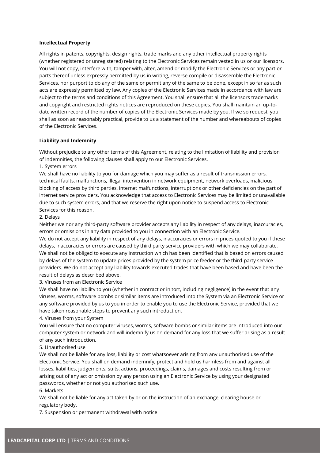#### **Intellectual Property**

All rights in patents, copyrights, design rights, trade marks and any other intellectual property rights (whether registered or unregistered) relating to the Electronic Services remain vested in us or our licensors. You will not copy, interfere with, tamper with, alter, amend or modify the Electronic Services or any part or parts thereof unless expressly permitted by us in writing, reverse compile or disassemble the Electronic Services, nor purport to do any of the same or permit any of the same to be done, except in so far as such acts are expressly permitted by law. Any copies of the Electronic Services made in accordance with law are subject to the terms and conditions of this Agreement. You shall ensure that all the licensors trademarks and copyright and restricted rights notices are reproduced on these copies. You shall maintain an up-todate written record of the number of copies of the Electronic Services made by you. If we so request, you shall as soon as reasonably practical, provide to us a statement of the number and whereabouts of copies of the Electronic Services.

#### **Liability and Indemnity**

Without prejudice to any other terms of this Agreement, relating to the limitation of liability and provision of indemnities, the following clauses shall apply to our Electronic Services.

#### 1. System errors

We shall have no liability to you for damage which you may suffer as a result of transmission errors, technical faults, malfunctions, illegal intervention in network equipment, network overloads, malicious blocking of access by third parties, internet malfunctions, interruptions or other deficiencies on the part of internet service providers. You acknowledge that access to Electronic Services may be limited or unavailable due to such system errors, and that we reserve the right upon notice to suspend access to Electronic Services for this reason.

#### 2. Delays

Neither we nor any third-party software provider accepts any liability in respect of any delays, inaccuracies, errors or omissions in any data provided to you in connection with an Electronic Service.

We do not accept any liability in respect of any delays, inaccuracies or errors in prices quoted to you if these delays, inaccuracies or errors are caused by third party service providers with which we may collaborate. We shall not be obliged to execute any instruction which has been identified that is based on errors caused by delays of the system to update prices provided by the system price feeder or the third-party service providers. We do not accept any liability towards executed trades that have been based and have been the result of delays as described above.

3. Viruses from an Electronic Service

We shall have no liability to you (whether in contract or in tort, including negligence) in the event that any viruses, worms, software bombs or similar items are introduced into the System via an Electronic Service or any software provided by us to you in order to enable you to use the Electronic Service, provided that we have taken reasonable steps to prevent any such introduction.

#### 4. Viruses from your System

You will ensure that no computer viruses, worms, software bombs or similar items are introduced into our computer system or network and will indemnify us on demand for any loss that we suffer arising as a result of any such introduction.

#### 5. Unauthorised use

We shall not be liable for any loss, liability or cost whatsoever arising from any unauthorised use of the Electronic Service. You shall on demand indemnify, protect and hold us harmless from and against all losses, liabilities, judgements, suits, actions, proceedings, claims, damages and costs resulting from or arising out of any act or omission by any person using an Electronic Service by using your designated passwords, whether or not you authorised such use.

#### 6. Markets

We shall not be liable for any act taken by or on the instruction of an exchange, clearing house or regulatory body.

7. Suspension or permanent withdrawal with notice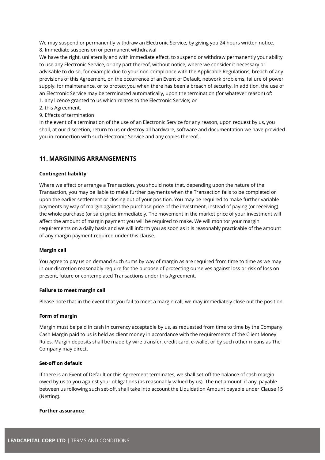We may suspend or permanently withdraw an Electronic Service, by giving you 24 hours written notice. 8. Immediate suspension or permanent withdrawal

We have the right, unilaterally and with immediate effect, to suspend or withdraw permanently your ability to use any Electronic Service, or any part thereof, without notice, where we consider it necessary or advisable to do so, for example due to your non-compliance with the Applicable Regulations, breach of any provisions of this Agreement, on the occurrence of an Event of Default, network problems, failure of power supply, for maintenance, or to protect you when there has been a breach of security. In addition, the use of an Electronic Service may be terminated automatically, upon the termination (for whatever reason) of:

- 1. any licence granted to us which relates to the Electronic Service; or
- 2. this Agreement.
- 9. Effects of termination

In the event of a termination of the use of an Electronic Service for any reason, upon request by us, you shall, at our discretion, return to us or destroy all hardware, software and documentation we have provided you in connection with such Electronic Service and any copies thereof.

## <span id="page-21-0"></span>**11. MARGINING ARRANGEMENTS**

#### **Contingent liability**

Where we effect or arrange a Transaction, you should note that, depending upon the nature of the Transaction, you may be liable to make further payments when the Transaction fails to be completed or upon the earlier settlement or closing out of your position. You may be required to make further variable payments by way of margin against the purchase price of the investment, instead of paying (or receiving) the whole purchase (or sale) price immediately. The movement in the market price of your investment will affect the amount of margin payment you will be required to make. We will monitor your margin requirements on a daily basis and we will inform you as soon as it is reasonably practicable of the amount of any margin payment required under this clause.

#### **Margin call**

You agree to pay us on demand such sums by way of margin as are required from time to time as we may in our discretion reasonably require for the purpose of protecting ourselves against loss or risk of loss on present, future or contemplated Transactions under this Agreement.

#### **Failure to meet margin call**

Please note that in the event that you fail to meet a margin call, we may immediately close out the position.

#### **Form of margin**

Margin must be paid in cash in currency acceptable by us, as requested from time to time by the Company. Cash Margin paid to us is held as client money in accordance with the requirements of the Client Money Rules. Margin deposits shall be made by wire transfer, credit card, e-wallet or by such other means as The Company may direct.

#### **Set-off on default**

If there is an Event of Default or this Agreement terminates, we shall set-off the balance of cash margin owed by us to you against your obligations (as reasonably valued by us). The net amount, if any, payable between us following such set-off, shall take into account the Liquidation Amount payable under Clause 15 (Netting).

#### **Further assurance**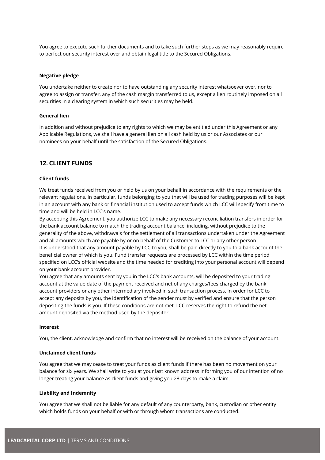You agree to execute such further documents and to take such further steps as we may reasonably require to perfect our security interest over and obtain legal title to the Secured Obligations.

#### **Negative pledge**

You undertake neither to create nor to have outstanding any security interest whatsoever over, nor to agree to assign or transfer, any of the cash margin transferred to us, except a lien routinely imposed on all securities in a clearing system in which such securities may be held.

#### **General lien**

In addition and without prejudice to any rights to which we may be entitled under this Agreement or any Applicable Regulations, we shall have a general lien on all cash held by us or our Associates or our nominees on your behalf until the satisfaction of the Secured Obligations.

## <span id="page-22-0"></span>**12. CLIENT FUNDS**

#### **Client funds**

We treat funds received from you or held by us on your behalf in accordance with the requirements of the relevant regulations. In particular, funds belonging to you that will be used for trading purposes will be kept in an account with any bank or financial institution used to accept funds which LCC will specify from time to time and will be held in LCC's name.

By accepting this Agreement, you authorize LCC to make any necessary reconciliation transfers in order for the bank account balance to match the trading account balance, including, without prejudice to the generality of the above, withdrawals for the settlement of all transactions undertaken under the Agreement and all amounts which are payable by or on behalf of the Customer to LCC or any other person. It is understood that any amount payable by LCC to you, shall be paid directly to you to a bank account the beneficial owner of which is you. Fund transfer requests are processed by LCC within the time period specified on LCC's official website and the time needed for crediting into your personal account will depend on your bank account provider.

You agree that any amounts sent by you in the LCC's bank accounts, will be deposited to your trading account at the value date of the payment received and net of any charges/fees charged by the bank account providers or any other intermediary involved in such transaction process. In order for LCC to accept any deposits by you, the identification of the sender must by verified and ensure that the person depositing the funds is you. If these conditions are not met, LCC reserves the right to refund the net amount deposited via the method used by the depositor.

#### **Interest**

You, the client, acknowledge and confirm that no interest will be received on the balance of your account.

#### **Unclaimed client funds**

You agree that we may cease to treat your funds as client funds if there has been no movement on your balance for six years. We shall write to you at your last known address informing you of our intention of no longer treating your balance as client funds and giving you 28 days to make a claim.

#### **Liability and Indemnity**

You agree that we shall not be liable for any default of any counterparty, bank, custodian or other entity which holds funds on your behalf or with or through whom transactions are conducted.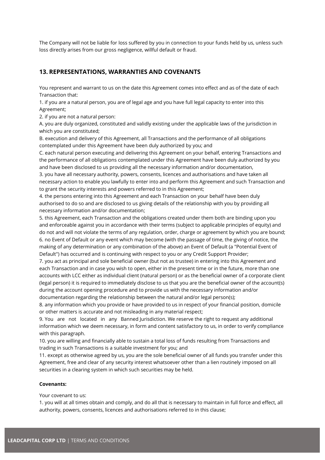The Company will not be liable for loss suffered by you in connection to your funds held by us, unless such loss directly arises from our gross negligence, willful default or fraud.

## <span id="page-23-0"></span>**13. REPRESENTATIONS, WARRANTIES AND COVENANTS**

You represent and warrant to us on the date this Agreement comes into effect and as of the date of each Transaction that:

1. if you are a natural person, you are of legal age and you have full legal capacity to enter into this Agreement;

2. if you are not a natural person:

A. you are duly organized, constituted and validly existing under the applicable laws of the jurisdiction in which you are constituted;

B. execution and delivery of this Agreement, all Transactions and the performance of all obligations contemplated under this Agreement have been duly authorized by you; and

C. each natural person executing and delivering this Agreement on your behalf, entering Transactions and the performance of all obligations contemplated under this Agreement have been duly authorized by you and have been disclosed to us providing all the necessary information and/or documentation,

3. you have all necessary authority, powers, consents, licences and authorisations and have taken all necessary action to enable you lawfully to enter into and perform this Agreement and such Transaction and to grant the security interests and powers referred to in this Agreement;

4. the persons entering into this Agreement and each Transaction on your behalf have been duly authorised to do so and are disclosed to us giving details of the relationship with you by providing all necessary information and/or documentation;

5. this Agreement, each Transaction and the obligations created under them both are binding upon you and enforceable against you in accordance with their terms (subject to applicable principles of equity) and do not and will not violate the terms of any regulation, order, charge or agreement by which you are bound; 6. no Event of Default or any event which may become (with the passage of time, the giving of notice, the making of any determination or any combination of the above) an Event of Default (a "Potential Event of Default") has occurred and is continuing with respect to you or any Credit Support Provider;

7. you act as principal and sole beneficial owner (but not as trustee) in entering into this Agreement and each Transaction and in case you wish to open, either in the present time or in the future, more than one accounts with LCC either as individual client (natural person) or as the beneficial owner of a corporate client (legal person) it is required to immediately disclose to us that you are the beneficial owner of the account(s) during the account opening procedure and to provide us with the necessary information and/or documentation regarding the relationship between the natural and/or legal person(s);

8. any information which you provide or have provided to us in respect of your financial position, domicile or other matters is accurate and not misleading in any material respect;

9. You are not located in any Banned Jurisdiction. We reserve the right to request any additional information which we deem necessary, in form and content satisfactory to us, in order to verify compliance with this paragraph.

10. you are willing and financially able to sustain a total loss of funds resulting from Transactions and trading in such Transactions is a suitable investment for you; and

11. except as otherwise agreed by us, you are the sole beneficial owner of all funds you transfer under this Agreement, free and clear of any security interest whatsoever other than a lien routinely imposed on all securities in a clearing system in which such securities may be held.

#### **Covenants:**

Your covenant to us:

1. you will at all times obtain and comply, and do all that is necessary to maintain in full force and effect, all authority, powers, consents, licences and authorisations referred to in this clause;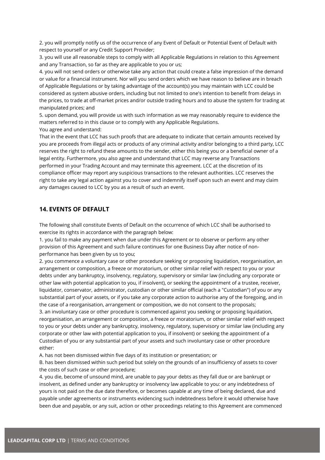2. you will promptly notify us of the occurrence of any Event of Default or Potential Event of Default with respect to yourself or any Credit Support Provider;

3. you will use all reasonable steps to comply with all Applicable Regulations in relation to this Agreement and any Transaction, so far as they are applicable to you or us;

4. you will not send orders or otherwise take any action that could create a false impression of the demand or value for a financial instrument. Nor will you send orders which we have reason to believe are in breach of Applicable Regulations or by taking advantage of the account(s) you may maintain with LCC could be considered as system abusive orders, including but not limited to one's intention to benefit from delays in the prices, to trade at off-market prices and/or outside trading hours and to abuse the system for trading at manipulated prices; and

5. upon demand, you will provide us with such information as we may reasonably require to evidence the matters referred to in this clause or to comply with any Applicable Regulations. You agree and understand:

That in the event that LCC has such proofs that are adequate to indicate that certain amounts received by you are proceeds from illegal acts or products of any criminal activity and/or belonging to a third party, LCC reserves the right to refund these amounts to the sender, either this being you or a beneficial owner of a legal entity. Furthermore, you also agree and understand that LCC may reverse any Transactions performed in your Trading Account and may terminate this agreement. LCC at the discretion of its compliance officer may report any suspicious transactions to the relevant authorities. LCC reserves the right to take any legal action against you to cover and indemnify itself upon such an event and may claim any damages caused to LCC by you as a result of such an event.

## <span id="page-24-0"></span>**14. EVENTS OF DEFAULT**

The following shall constitute Events of Default on the occurrence of which LCC shall be authorised to exercise its rights in accordance with the paragraph below:

1. you fail to make any payment when due under this Agreement or to observe or perform any other provision of this Agreement and such failure continues for one Business Day after notice of nonperformance has been given by us to you;

2. you commence a voluntary case or other procedure seeking or proposing liquidation, reorganisation, an arrangement or composition, a freeze or moratorium, or other similar relief with respect to you or your debts under any bankruptcy, insolvency, regulatory, supervisory or similar law (including any corporate or other law with potential application to you, if insolvent), or seeking the appointment of a trustee, receiver, liquidator, conservator, administrator, custodian or other similar official (each a "Custodian") of you or any substantial part of your assets, or if you take any corporate action to authorise any of the foregoing, and in the case of a reorganisation, arrangement or composition, we do not consent to the proposals;

3. an involuntary case or other procedure is commenced against you seeking or proposing liquidation, reorganisation, an arrangement or composition, a freeze or moratorium, or other similar relief with respect to you or your debts under any bankruptcy, insolvency, regulatory, supervisory or similar law (including any corporate or other law with potential application to you, if insolvent) or seeking the appointment of a Custodian of you or any substantial part of your assets and such involuntary case or other procedure either:

A. has not been dismissed within five days of its institution or presentation; or

B. has been dismissed within such period but solely on the grounds of an insufficiency of assets to cover the costs of such case or other procedure;

4. you die, become of unsound mind, are unable to pay your debts as they fall due or are bankrupt or insolvent, as defined under any bankruptcy or insolvency law applicable to you: or any indebtedness of yours is not paid on the due date therefore, or becomes capable at any time of being declared, due and payable under agreements or instruments evidencing such indebtedness before it would otherwise have been due and payable, or any suit, action or other proceedings relating to this Agreement are commenced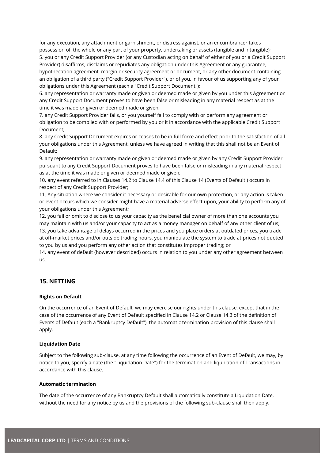for any execution, any attachment or garnishment, or distress against, or an encumbrancer takes possession of, the whole or any part of your property, undertaking or assets (tangible and intangible); 5. you or any Credit Support Provider (or any Custodian acting on behalf of either of you or a Credit Support Provider) disaffirms, disclaims or repudiates any obligation under this Agreement or any guarantee, hypothecation agreement, margin or security agreement or document, or any other document containing an obligation of a third party ("Credit Support Provider"), or of you, in favour of us supporting any of your obligations under this Agreement (each a "Credit Support Document");

6. any representation or warranty made or given or deemed made or given by you under this Agreement or any Credit Support Document proves to have been false or misleading in any material respect as at the time it was made or given or deemed made or given;

7. any Credit Support Provider fails, or you yourself fail to comply with or perform any agreement or obligation to be complied with or performed by you or it in accordance with the applicable Credit Support Document;

8. any Credit Support Document expires or ceases to be in full force and effect prior to the satisfaction of all your obligations under this Agreement, unless we have agreed in writing that this shall not be an Event of Default;

9. any representation or warranty made or given or deemed made or given by any Credit Support Provider pursuant to any Credit Support Document proves to have been false or misleading in any material respect as at the time it was made or given or deemed made or given;

10. any event referred to in Clauses 14.2 to Clause 14.4 of this Clause 14 (Events of Default ) occurs in respect of any Credit Support Provider;

11. Any situation where we consider it necessary or desirable for our own protection, or any action is taken or event occurs which we consider might have a material adverse effect upon, your ability to perform any of your obligations under this Agreement;

12. you fail or omit to disclose to us your capacity as the beneficial owner of more than one accounts you may maintain with us and/or your capacity to act as a money manager on behalf of any other client of us; 13. you take advantage of delays occurred in the prices and you place orders at outdated prices, you trade at off-market prices and/or outside trading hours, you manipulate the system to trade at prices not quoted to you by us and you perform any other action that constitutes improper trading; or

14. any event of default (however described) occurs in relation to you under any other agreement between us.

## <span id="page-25-0"></span>**15. NETTING**

#### **Rights on Default**

On the occurrence of an Event of Default, we may exercise our rights under this clause, except that in the case of the occurrence of any Event of Default specified in Clause 14.2 or Clause 14.3 of the definition of Events of Default (each a "Bankruptcy Default"), the automatic termination provision of this clause shall apply.

#### **Liquidation Date**

Subject to the following sub-clause, at any time following the occurrence of an Event of Default, we may, by notice to you, specify a date (the "Liquidation Date") for the termination and liquidation of Transactions in accordance with this clause.

#### **Automatic termination**

The date of the occurrence of any Bankruptcy Default shall automatically constitute a Liquidation Date, without the need for any notice by us and the provisions of the following sub-clause shall then apply.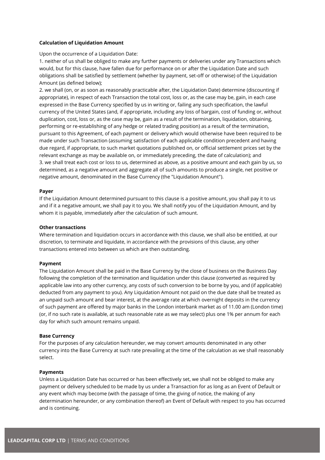#### **Calculation of Liquidation Amount**

Upon the occurrence of a Liquidation Date:

1. neither of us shall be obliged to make any further payments or deliveries under any Transactions which would, but for this clause, have fallen due for performance on or after the Liquidation Date and such obligations shall be satisfied by settlement (whether by payment, set-off or otherwise) of the Liquidation Amount (as defined below);

2. we shall (on, or as soon as reasonably practicable after, the Liquidation Date) determine (discounting if appropriate), in respect of each Transaction the total cost, loss or, as the case may be, gain, in each case expressed in the Base Currency specified by us in writing or, failing any such specification, the lawful currency of the United States (and, if appropriate, including any loss of bargain, cost of funding or, without duplication, cost, loss or, as the case may be, gain as a result of the termination, liquidation, obtaining, performing or re-establishing of any hedge or related trading position) as a result of the termination, pursuant to this Agreement, of each payment or delivery which would otherwise have been required to be made under such Transaction (assuming satisfaction of each applicable condition precedent and having due regard, if appropriate, to such market quotations published on, or official settlement prices set by the relevant exchange as may be available on, or immediately preceding, the date of calculation); and 3. we shall treat each cost or loss to us, determined as above, as a positive amount and each gain by us, so determined, as a negative amount and aggregate all of such amounts to produce a single, net positive or negative amount, denominated in the Base Currency (the "Liquidation Amount").

#### **Payer**

If the Liquidation Amount determined pursuant to this clause is a positive amount, you shall pay it to us and if it a negative amount, we shall pay it to you. We shall notify you of the Liquidation Amount, and by whom it is payable, immediately after the calculation of such amount.

#### **Other transactions**

Where termination and liquidation occurs in accordance with this clause, we shall also be entitled, at our discretion, to terminate and liquidate, in accordance with the provisions of this clause, any other transactions entered into between us which are then outstanding.

#### **Payment**

The Liquidation Amount shall be paid in the Base Currency by the close of business on the Business Day following the completion of the termination and liquidation under this clause (converted as required by applicable law into any other currency, any costs of such conversion to be borne by you, and (if applicable) deducted from any payment to you). Any Liquidation Amount not paid on the due date shall be treated as an unpaid such amount and bear interest, at the average rate at which overnight deposits in the currency of such payment are offered by major banks in the London interbank market as of 11.00 am (London time) (or, if no such rate is available, at such reasonable rate as we may select) plus one 1% per annum for each day for which such amount remains unpaid.

#### **Base Currency**

For the purposes of any calculation hereunder, we may convert amounts denominated in any other currency into the Base Currency at such rate prevailing at the time of the calculation as we shall reasonably select.

#### **Payments**

Unless a Liquidation Date has occurred or has been effectively set, we shall not be obliged to make any payment or delivery scheduled to be made by us under a Transaction for as long as an Event of Default or any event which may become (with the passage of time, the giving of notice, the making of any determination hereunder, or any combination thereof) an Event of Default with respect to you has occurred and is continuing.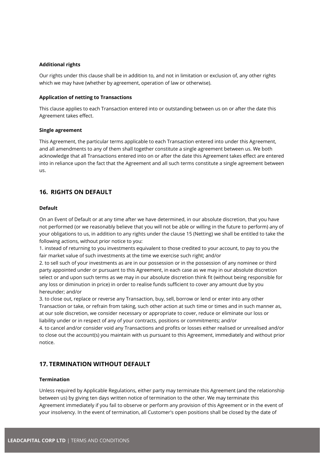#### **Additional rights**

Our rights under this clause shall be in addition to, and not in limitation or exclusion of, any other rights which we may have (whether by agreement, operation of law or otherwise).

#### **Application of netting to Transactions**

This clause applies to each Transaction entered into or outstanding between us on or after the date this Agreement takes effect.

#### **Single agreement**

This Agreement, the particular terms applicable to each Transaction entered into under this Agreement, and all amendments to any of them shall together constitute a single agreement between us. We both acknowledge that all Transactions entered into on or after the date this Agreement takes effect are entered into in reliance upon the fact that the Agreement and all such terms constitute a single agreement between us.

## <span id="page-27-0"></span>**16. RIGHTS ON DEFAULT**

#### **Default**

On an Event of Default or at any time after we have determined, in our absolute discretion, that you have not performed (or we reasonably believe that you will not be able or willing in the future to perform) any of your obligations to us, in addition to any rights under the clause 15 (Netting) we shall be entitled to take the following actions, without prior notice to you:

1. instead of returning to you investments equivalent to those credited to your account, to pay to you the fair market value of such investments at the time we exercise such right; and/or

2. to sell such of your investments as are in our possession or in the possession of any nominee or third party appointed under or pursuant to this Agreement, in each case as we may in our absolute discretion select or and upon such terms as we may in our absolute discretion think fit (without being responsible for any loss or diminution in price) in order to realise funds sufficient to cover any amount due by you hereunder; and/or

3. to close out, replace or reverse any Transaction, buy, sell, borrow or lend or enter into any other Transaction or take, or refrain from taking, such other action at such time or times and in such manner as, at our sole discretion, we consider necessary or appropriate to cover, reduce or eliminate our loss or liability under or in respect of any of your contracts, positions or commitments; and/or

4. to cancel and/or consider void any Transactions and profits or losses either realised or unrealised and/or to close out the account(s) you maintain with us pursuant to this Agreement, immediately and without prior notice.

## <span id="page-27-1"></span>**17. TERMINATION WITHOUT DEFAULT**

## **Termination**

Unless required by Applicable Regulations, either party may terminate this Agreement (and the relationship between us) by giving ten days written notice of termination to the other. We may terminate this Agreement immediately if you fail to observe or perform any provision of this Agreement or in the event of your insolvency. In the event of termination, all Customer's open positions shall be closed by the date of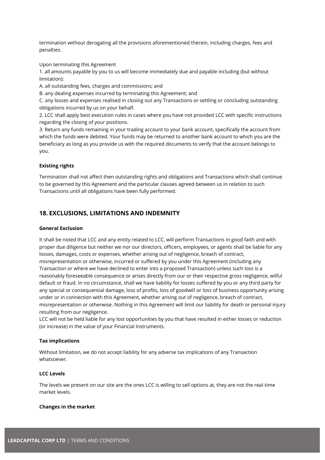termination without derogating all the provisions aforementioned therein, including charges, fees and penalties.

Upon terminating this Agreement

1. all amounts payable by you to us will become immediately due and payable including (but without limitation):

A. all outstanding fees, charges and commissions; and

B. any dealing expenses incurred by terminating this Agreement; and

C. any losses and expenses realised in closing out any Transactions or settling or concluding outstanding obligations incurred by us on your behalf.

2. LCC shall apply best execution rules in cases where you have not provided LCC with specific instructions regarding the closing of your positions.

3. Return any funds remaining in your trading account to your bank account, specifically the account from which the funds were debited. Your funds may be returned to another bank account to which you are the beneficiary as long as you provide us with the required documents to verify that the account belongs to you.

#### **Existing rights**

Termination shall not affect then outstanding rights and obligations and Transactions which shall continue to be governed by this Agreement and the particular clauses agreed between us in relation to such Transactions until all obligations have been fully performed.

## <span id="page-28-0"></span>**18. EXCLUSIONS, LIMITATIONS AND INDEMNITY**

#### **General Exclusion**

It shall be noted that LCC and any entity related to LCC, will perform Transactions in good faith and with proper due diligence but neither we nor our directors, officers, employees, or agents shall be liable for any losses, damages, costs or expenses, whether arising out of negligence, breach of contract, misrepresentation or otherwise, incurred or suffered by you under this Agreement (including any Transaction or where we have declined to enter into a proposed Transaction) unless such loss is a reasonably foreseeable consequence or arises directly from our or their respective gross negligence, wilful default or fraud. In no circumstance, shall we have liability for losses suffered by you or any third party for any special or consequential damage, loss of profits, loss of goodwill or loss of business opportunity arising under or in connection with this Agreement, whether arising out of negligence, breach of contract, misrepresentation or otherwise. Nothing in this Agreement will limit our liability for death or personal injury resulting from our negligence.

LCC will not be held liable for any lost opportunities by you that have resulted in either losses or reduction (or increase) in the value of your Financial Instruments.

#### **Tax implications**

Without limitation, we do not accept liability for any adverse tax implications of any Transaction whatsoever.

#### **LCC Levels**

The levels we present on our site are the ones LCC is willing to sell options at, they are not the real-time market levels.

#### **Changes in the market**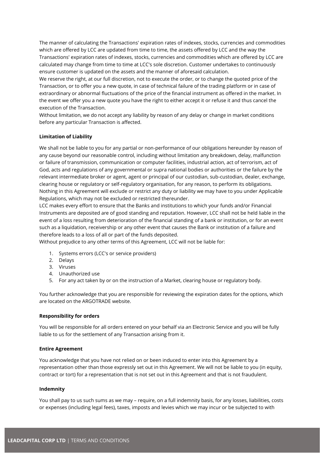The manner of calculating the Transactions' expiration rates of indexes, stocks, currencies and commodities which are offered by LCC are updated from time to time, the assets offered by LCC and the way the Transactions' expiration rates of indexes, stocks, currencies and commodities which are offered by LCC are calculated may change from time to time at LCC's sole discretion. Customer undertakes to continuously ensure customer is updated on the assets and the manner of aforesaid calculation.

We reserve the right, at our full discretion, not to execute the order, or to change the quoted price of the Transaction, or to offer you a new quote, in case of technical failure of the trading platform or in case of extraordinary or abnormal fluctuations of the price of the financial instrument as offered in the market. In the event we offer you a new quote you have the right to either accept it or refuse it and thus cancel the execution of the Transaction.

Without limitation, we do not accept any liability by reason of any delay or change in market conditions before any particular Transaction is affected.

#### **Limitation of Liability**

We shall not be liable to you for any partial or non-performance of our obligations hereunder by reason of any cause beyond our reasonable control, including without limitation any breakdown, delay, malfunction or failure of transmission, communication or computer facilities, industrial action, act of terrorism, act of God, acts and regulations of any governmental or supra national bodies or authorities or the failure by the relevant intermediate broker or agent, agent or principal of our custodian, sub-custodian, dealer, exchange, clearing house or regulatory or self-regulatory organisation, for any reason, to perform its obligations. Nothing in this Agreement will exclude or restrict any duty or liability we may have to you under Applicable Regulations, which may not be excluded or restricted thereunder.

LCC makes every effort to ensure that the Banks and institutions to which your funds and/or Financial Instruments are deposited are of good standing and reputation. However, LCC shall not be held liable in the event of a loss resulting from deterioration of the financial standing of a bank or institution, or for an event such as a liquidation, receivership or any other event that causes the Bank or institution of a failure and therefore leads to a loss of all or part of the funds deposited.

Without prejudice to any other terms of this Agreement, LCC will not be liable for:

- 1. Systems errors (LCC's or service providers)
- 2. Delays
- 3. Viruses
- 4. Unauthorized use
- 5. For any act taken by or on the instruction of a Market, clearing house or regulatory body.

You further acknowledge that you are responsible for reviewing the expiration dates for the options, which are located on the ARGOTRADE website.

#### **Responsibility for orders**

You will be responsible for all orders entered on your behalf via an Electronic Service and you will be fully liable to us for the settlement of any Transaction arising from it.

#### **Entire Agreement**

You acknowledge that you have not relied on or been induced to enter into this Agreement by a representation other than those expressly set out in this Agreement. We will not be liable to you (in equity, contract or tort) for a representation that is not set out in this Agreement and that is not fraudulent.

#### **Indemnity**

You shall pay to us such sums as we may – require, on a full indemnity basis, for any losses, liabilities, costs or expenses (including legal fees), taxes, imposts and levies which we may incur or be subjected to with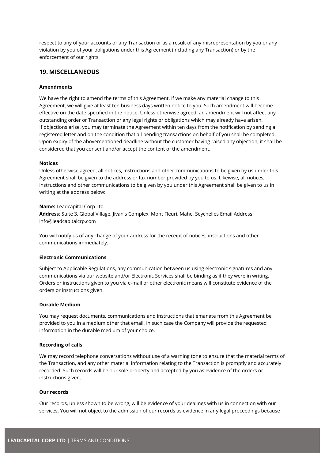respect to any of your accounts or any Transaction or as a result of any misrepresentation by you or any violation by you of your obligations under this Agreement (including any Transaction) or by the enforcement of our rights.

## <span id="page-30-0"></span>**19. MISCELLANEOUS**

#### **Amendments**

We have the right to amend the terms of this Agreement. If we make any material change to this Agreement, we will give at least ten business days written notice to you. Such amendment will become effective on the date specified in the notice. Unless otherwise agreed, an amendment will not affect any outstanding order or Transaction or any legal rights or obligations which may already have arisen. If objections arise, you may terminate the Agreement within ten days from the notification by sending a registered letter and on the condition that all pending transactions on behalf of you shall be completed. Upon expiry of the abovementioned deadline without the customer having raised any objection, it shall be considered that you consent and/or accept the content of the amendment.

#### **Notices**

Unless otherwise agreed, all notices, instructions and other communications to be given by us under this Agreement shall be given to the address or fax number provided by you to us. Likewise, all notices, instructions and other communications to be given by you under this Agreement shall be given to us in writing at the address below:

#### **Name:** Leadcapital Corp Ltd

**Address**: Suite 3, Global Village, Jivan's Complex, Mont Fleuri, Mahe, Seychelles Email Address: info@leadcapitalcrp.com

You will notify us of any change of your address for the receipt of notices, instructions and other communications immediately.

#### **Electronic Communications**

Subject to Applicable Regulations, any communication between us using electronic signatures and any communications via our website and/or Electronic Services shall be binding as if they were in writing. Orders or instructions given to you via e-mail or other electronic means will constitute evidence of the orders or instructions given.

#### **Durable Medium**

You may request documents, communications and instructions that emanate from this Agreement be provided to you in a medium other that email. In such case the Company will provide the requested information in the durable medium of your choice.

#### **Recording of calls**

We may record telephone conversations without use of a warning tone to ensure that the material terms of the Transaction, and any other material information relating to the Transaction is promptly and accurately recorded. Such records will be our sole property and accepted by you as evidence of the orders or instructions given.

#### **Our records**

Our records, unless shown to be wrong, will be evidence of your dealings with us in connection with our services. You will not object to the admission of our records as evidence in any legal proceedings because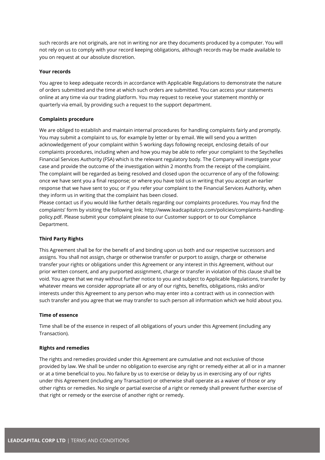such records are not originals, are not in writing nor are they documents produced by a computer. You will not rely on us to comply with your record keeping obligations, although records may be made available to you on request at our absolute discretion.

#### **Your records**

You agree to keep adequate records in accordance with Applicable Regulations to demonstrate the nature of orders submitted and the time at which such orders are submitted. You can access your statements online at any time via our trading platform. You may request to receive your statement monthly or quarterly via email, by providing such a request to the support department.

#### **Complaints procedure**

We are obliged to establish and maintain internal procedures for handling complaints fairly and promptly. You may submit a complaint to us, for example by letter or by email. We will send you a written acknowledgement of your complaint within 5 working days following receipt, enclosing details of our complaints procedures, including when and how you may be able to refer your complaint to the Seychelles Financial Services Authority (FSA) which is the relevant regulatory body. The Company will investigate your case and provide the outcome of the investigation within 2 months from the receipt of the complaint. The complaint will be regarded as being resolved and closed upon the occurrence of any of the following: once we have sent you a final response; or where you have told us in writing that you accept an earlier response that we have sent to you; or if you refer your complaint to the Financial Services Authority, when they inform us in writing that the complaint has been closed.

Please contact us if you would like further details regarding our complaints procedures. You may find the complaints' form by visiting the following link: http://www.leadcapitalcrp.com/policies/complaints-handlingpolicy.pdf. Please submit your complaint please to our Customer support or to our Compliance Department.

#### **Third Party Rights**

This Agreement shall be for the benefit of and binding upon us both and our respective successors and assigns. You shall not assign, charge or otherwise transfer or purport to assign, charge or otherwise transfer your rights or obligations under this Agreement or any interest in this Agreement, without our prior written consent, and any purported assignment, charge or transfer in violation of this clause shall be void. You agree that we may without further notice to you and subject to Applicable Regulations, transfer by whatever means we consider appropriate all or any of our rights, benefits, obligations, risks and/or interests under this Agreement to any person who may enter into a contract with us in connection with such transfer and you agree that we may transfer to such person all information which we hold about you.

#### **Time of essence**

Time shall be of the essence in respect of all obligations of yours under this Agreement (including any Transaction).

#### **Rights and remedies**

The rights and remedies provided under this Agreement are cumulative and not exclusive of those provided by law. We shall be under no obligation to exercise any right or remedy either at all or in a manner or at a time beneficial to you. No failure by us to exercise or delay by us in exercising any of our rights under this Agreement (including any Transaction) or otherwise shall operate as a waiver of those or any other rights or remedies. No single or partial exercise of a right or remedy shall prevent further exercise of that right or remedy or the exercise of another right or remedy.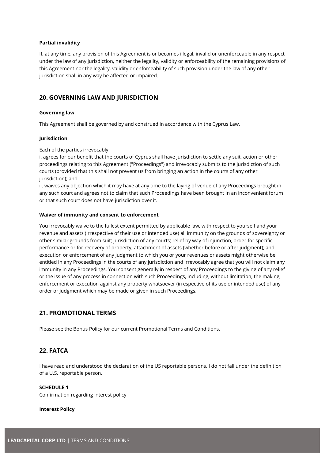#### **Partial invalidity**

If, at any time, any provision of this Agreement is or becomes illegal, invalid or unenforceable in any respect under the law of any jurisdiction, neither the legality, validity or enforceability of the remaining provisions of this Agreement nor the legality, validity or enforceability of such provision under the law of any other jurisdiction shall in any way be affected or impaired.

## <span id="page-32-0"></span>**20. GOVERNING LAW AND JURISDICTION**

#### **Governing law**

This Agreement shall be governed by and construed in accordance with the Cyprus Law.

#### **Jurisdiction**

Each of the parties irrevocably:

i. agrees for our benefit that the courts of Cyprus shall have jurisdiction to settle any suit, action or other proceedings relating to this Agreement ("Proceedings") and irrevocably submits to the jurisdiction of such courts (provided that this shall not prevent us from bringing an action in the courts of any other jurisdiction); and

ii. waives any objection which it may have at any time to the laying of venue of any Proceedings brought in any such court and agrees not to claim that such Proceedings have been brought in an inconvenient forum or that such court does not have jurisdiction over it.

#### **Waiver of immunity and consent to enforcement**

You irrevocably waive to the fullest extent permitted by applicable law, with respect to yourself and your revenue and assets (irrespective of their use or intended use) all immunity on the grounds of sovereignty or other similar grounds from suit; jurisdiction of any courts; relief by way of injunction, order for specific performance or for recovery of property; attachment of assets (whether before or after judgment); and execution or enforcement of any judgment to which you or your revenues or assets might otherwise be entitled in any Proceedings in the courts of any jurisdiction and irrevocably agree that you will not claim any immunity in any Proceedings. You consent generally in respect of any Proceedings to the giving of any relief or the issue of any process in connection with such Proceedings, including, without limitation, the making, enforcement or execution against any property whatsoever (irrespective of its use or intended use) of any order or judgment which may be made or given in such Proceedings.

## <span id="page-32-1"></span>**21. PROMOTIONAL TERMS**

Please see the Bonus Policy for our current Promotional Terms and Conditions.

## <span id="page-32-2"></span>**22. FATCA**

I have read and understood the declaration of the US reportable persons. I do not fall under the definition of a U.S. reportable person.

#### **SCHEDULE 1**

Confirmation regarding interest policy

#### **Interest Policy**